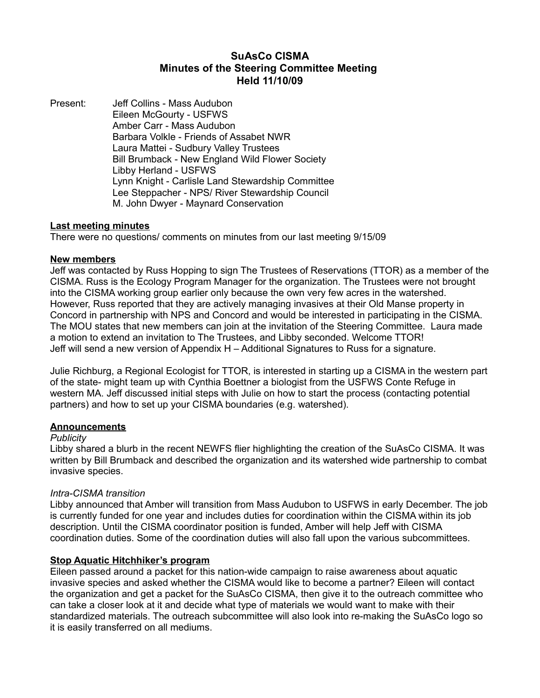# **SuAsCo CISMA Minutes of the Steering Committee Meeting Held 11/10/09**

Present: Jeff Collins - Mass Audubon Eileen McGourty - USFWS Amber Carr - Mass Audubon Barbara Volkle - Friends of Assabet NWR Laura Mattei - Sudbury Valley Trustees Bill Brumback - New England Wild Flower Society Libby Herland - USFWS Lynn Knight - Carlisle Land Stewardship Committee Lee Steppacher - NPS/ River Stewardship Council M. John Dwyer - Maynard Conservation

### **Last meeting minutes**

There were no questions/ comments on minutes from our last meeting 9/15/09

### **New members**

Jeff was contacted by Russ Hopping to sign The Trustees of Reservations (TTOR) as a member of the CISMA. Russ is the Ecology Program Manager for the organization. The Trustees were not brought into the CISMA working group earlier only because the own very few acres in the watershed. However, Russ reported that they are actively managing invasives at their Old Manse property in Concord in partnership with NPS and Concord and would be interested in participating in the CISMA. The MOU states that new members can join at the invitation of the Steering Committee. Laura made a motion to extend an invitation to The Trustees, and Libby seconded. Welcome TTOR! Jeff will send a new version of Appendix H – Additional Signatures to Russ for a signature.

Julie Richburg, a Regional Ecologist for TTOR, is interested in starting up a CISMA in the western part of the state- might team up with Cynthia Boettner a biologist from the USFWS Conte Refuge in western MA. Jeff discussed initial steps with Julie on how to start the process (contacting potential partners) and how to set up your CISMA boundaries (e.g. watershed).

### **Announcements**

#### *Publicity*

Libby shared a blurb in the recent NEWFS flier highlighting the creation of the SuAsCo CISMA. It was written by Bill Brumback and described the organization and its watershed wide partnership to combat invasive species.

#### *Intra-CISMA transition*

Libby announced that Amber will transition from Mass Audubon to USFWS in early December. The job is currently funded for one year and includes duties for coordination within the CISMA within its job description. Until the CISMA coordinator position is funded, Amber will help Jeff with CISMA coordination duties. Some of the coordination duties will also fall upon the various subcommittees.

#### **Stop Aquatic Hitchhiker's program**

Eileen passed around a packet for this nation-wide campaign to raise awareness about aquatic invasive species and asked whether the CISMA would like to become a partner? Eileen will contact the organization and get a packet for the SuAsCo CISMA, then give it to the outreach committee who can take a closer look at it and decide what type of materials we would want to make with their standardized materials. The outreach subcommittee will also look into re-making the SuAsCo logo so it is easily transferred on all mediums.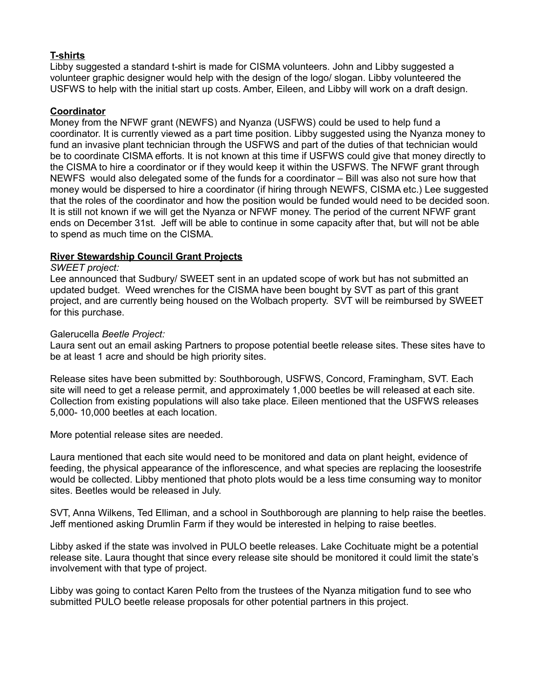# **T-shirts**

Libby suggested a standard t-shirt is made for CISMA volunteers. John and Libby suggested a volunteer graphic designer would help with the design of the logo/ slogan. Libby volunteered the USFWS to help with the initial start up costs. Amber, Eileen, and Libby will work on a draft design.

### **Coordinator**

Money from the NFWF grant (NEWFS) and Nyanza (USFWS) could be used to help fund a coordinator. It is currently viewed as a part time position. Libby suggested using the Nyanza money to fund an invasive plant technician through the USFWS and part of the duties of that technician would be to coordinate CISMA efforts. It is not known at this time if USFWS could give that money directly to the CISMA to hire a coordinator or if they would keep it within the USFWS. The NFWF grant through NEWFS would also delegated some of the funds for a coordinator – Bill was also not sure how that money would be dispersed to hire a coordinator (if hiring through NEWFS, CISMA etc.) Lee suggested that the roles of the coordinator and how the position would be funded would need to be decided soon. It is still not known if we will get the Nyanza or NFWF money. The period of the current NFWF grant ends on December 31st. Jeff will be able to continue in some capacity after that, but will not be able to spend as much time on the CISMA.

### **River Stewardship Council Grant Projects**

#### *SWEET project:*

Lee announced that Sudbury/ SWEET sent in an updated scope of work but has not submitted an updated budget. Weed wrenches for the CISMA have been bought by SVT as part of this grant project, and are currently being housed on the Wolbach property. SVT will be reimbursed by SWEET for this purchase.

#### Galerucella *Beetle Project:*

Laura sent out an email asking Partners to propose potential beetle release sites. These sites have to be at least 1 acre and should be high priority sites.

Release sites have been submitted by: Southborough, USFWS, Concord, Framingham, SVT. Each site will need to get a release permit, and approximately 1,000 beetles be will released at each site. Collection from existing populations will also take place. Eileen mentioned that the USFWS releases 5,000- 10,000 beetles at each location.

More potential release sites are needed.

Laura mentioned that each site would need to be monitored and data on plant height, evidence of feeding, the physical appearance of the inflorescence, and what species are replacing the loosestrife would be collected. Libby mentioned that photo plots would be a less time consuming way to monitor sites. Beetles would be released in July.

SVT, Anna Wilkens, Ted Elliman, and a school in Southborough are planning to help raise the beetles. Jeff mentioned asking Drumlin Farm if they would be interested in helping to raise beetles.

Libby asked if the state was involved in PULO beetle releases. Lake Cochituate might be a potential release site. Laura thought that since every release site should be monitored it could limit the state's involvement with that type of project.

Libby was going to contact Karen Pelto from the trustees of the Nyanza mitigation fund to see who submitted PULO beetle release proposals for other potential partners in this project.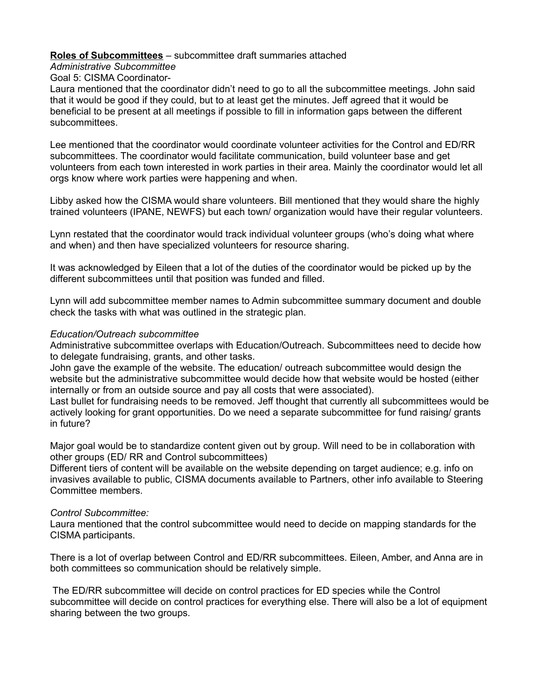### **Roles of Subcommittees** – subcommittee draft summaries attached

### *Administrative Subcommittee*

# Goal 5: CISMA Coordinator-

Laura mentioned that the coordinator didn't need to go to all the subcommittee meetings. John said that it would be good if they could, but to at least get the minutes. Jeff agreed that it would be beneficial to be present at all meetings if possible to fill in information gaps between the different subcommittees.

Lee mentioned that the coordinator would coordinate volunteer activities for the Control and ED/RR subcommittees. The coordinator would facilitate communication, build volunteer base and get volunteers from each town interested in work parties in their area. Mainly the coordinator would let all orgs know where work parties were happening and when.

Libby asked how the CISMA would share volunteers. Bill mentioned that they would share the highly trained volunteers (IPANE, NEWFS) but each town/ organization would have their regular volunteers.

Lynn restated that the coordinator would track individual volunteer groups (who's doing what where and when) and then have specialized volunteers for resource sharing.

It was acknowledged by Eileen that a lot of the duties of the coordinator would be picked up by the different subcommittees until that position was funded and filled.

Lynn will add subcommittee member names to Admin subcommittee summary document and double check the tasks with what was outlined in the strategic plan.

### *Education/Outreach subcommittee*

Administrative subcommittee overlaps with Education/Outreach. Subcommittees need to decide how to delegate fundraising, grants, and other tasks.

John gave the example of the website. The education/ outreach subcommittee would design the website but the administrative subcommittee would decide how that website would be hosted (either internally or from an outside source and pay all costs that were associated).

Last bullet for fundraising needs to be removed. Jeff thought that currently all subcommittees would be actively looking for grant opportunities. Do we need a separate subcommittee for fund raising/ grants in future?

Major goal would be to standardize content given out by group. Will need to be in collaboration with other groups (ED/ RR and Control subcommittees)

Different tiers of content will be available on the website depending on target audience; e.g. info on invasives available to public, CISMA documents available to Partners, other info available to Steering Committee members.

#### *Control Subcommittee:*

Laura mentioned that the control subcommittee would need to decide on mapping standards for the CISMA participants.

There is a lot of overlap between Control and ED/RR subcommittees. Eileen, Amber, and Anna are in both committees so communication should be relatively simple.

 The ED/RR subcommittee will decide on control practices for ED species while the Control subcommittee will decide on control practices for everything else. There will also be a lot of equipment sharing between the two groups.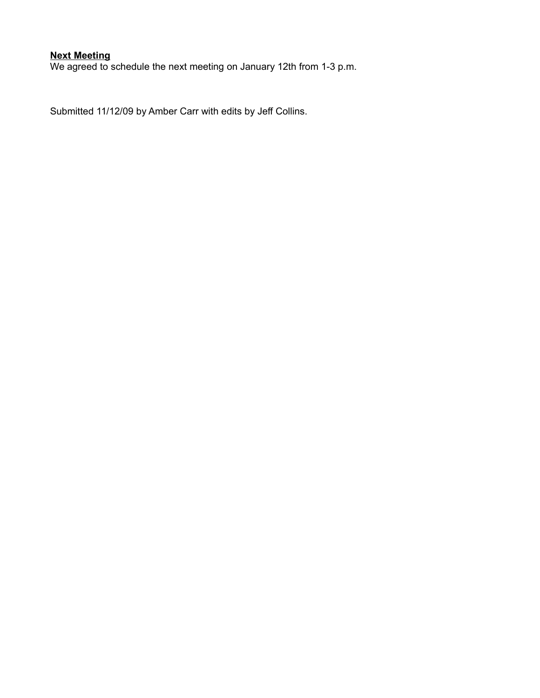# **Next Meeting**

We agreed to schedule the next meeting on January 12th from 1-3 p.m.

Submitted 11/12/09 by Amber Carr with edits by Jeff Collins.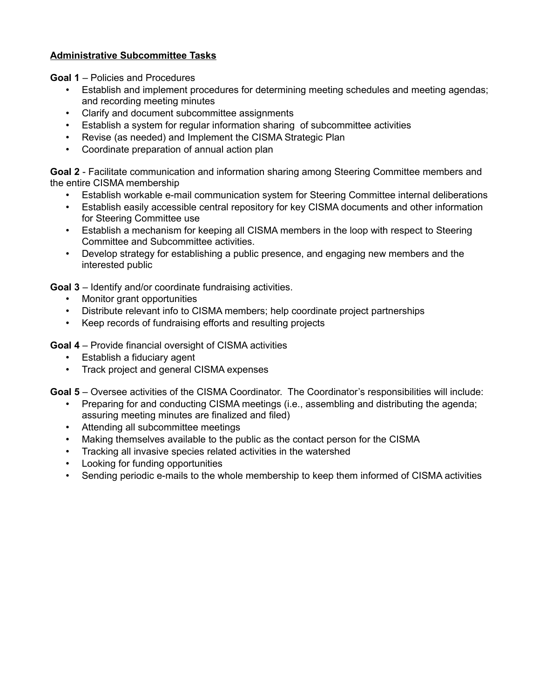# **Administrative Subcommittee Tasks**

**Goal 1** – Policies and Procedures

- Establish and implement procedures for determining meeting schedules and meeting agendas; and recording meeting minutes
- Clarify and document subcommittee assignments
- Establish a system for regular information sharing of subcommittee activities
- Revise (as needed) and Implement the CISMA Strategic Plan
- Coordinate preparation of annual action plan

**Goal 2** - Facilitate communication and information sharing among Steering Committee members and the entire CISMA membership

- Establish workable e-mail communication system for Steering Committee internal deliberations
- Establish easily accessible central repository for key CISMA documents and other information for Steering Committee use
- Establish a mechanism for keeping all CISMA members in the loop with respect to Steering Committee and Subcommittee activities.
- Develop strategy for establishing a public presence, and engaging new members and the interested public

**Goal 3** – Identify and/or coordinate fundraising activities.

- Monitor grant opportunities
- Distribute relevant info to CISMA members; help coordinate project partnerships
- Keep records of fundraising efforts and resulting projects

**Goal 4** – Provide financial oversight of CISMA activities

- Establish a fiduciary agent
- Track project and general CISMA expenses

**Goal 5** – Oversee activities of the CISMA Coordinator. The Coordinator's responsibilities will include:

- Preparing for and conducting CISMA meetings (i.e., assembling and distributing the agenda; assuring meeting minutes are finalized and filed)
- Attending all subcommittee meetings
- Making themselves available to the public as the contact person for the CISMA
- Tracking all invasive species related activities in the watershed
- Looking for funding opportunities
- Sending periodic e-mails to the whole membership to keep them informed of CISMA activities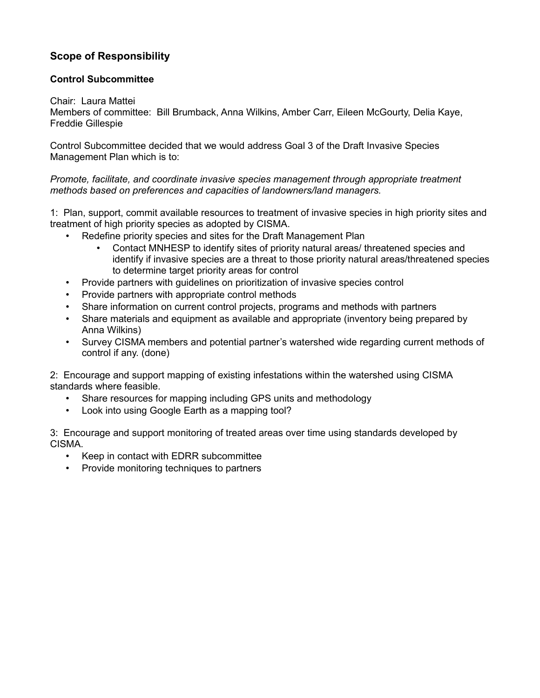# **Scope of Responsibility**

# **Control Subcommittee**

# Chair: Laura Mattei

Members of committee: Bill Brumback, Anna Wilkins, Amber Carr, Eileen McGourty, Delia Kaye, Freddie Gillespie

Control Subcommittee decided that we would address Goal 3 of the Draft Invasive Species Management Plan which is to:

*Promote, facilitate, and coordinate invasive species management through appropriate treatment methods based on preferences and capacities of landowners/land managers.*

1: Plan, support, commit available resources to treatment of invasive species in high priority sites and treatment of high priority species as adopted by CISMA.

- Redefine priority species and sites for the Draft Management Plan
	- Contact MNHESP to identify sites of priority natural areas/ threatened species and identify if invasive species are a threat to those priority natural areas/threatened species to determine target priority areas for control
- Provide partners with guidelines on prioritization of invasive species control
- Provide partners with appropriate control methods
- Share information on current control projects, programs and methods with partners
- Share materials and equipment as available and appropriate (inventory being prepared by Anna Wilkins)
- Survey CISMA members and potential partner's watershed wide regarding current methods of control if any. (done)

2: Encourage and support mapping of existing infestations within the watershed using CISMA standards where feasible.

- Share resources for mapping including GPS units and methodology
- Look into using Google Earth as a mapping tool?

3: Encourage and support monitoring of treated areas over time using standards developed by CISMA.

- Keep in contact with EDRR subcommittee
- Provide monitoring techniques to partners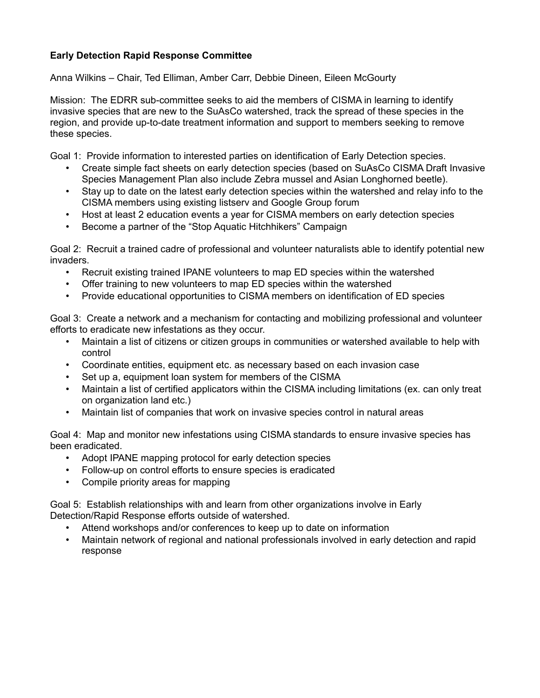# **Early Detection Rapid Response Committee**

Anna Wilkins – Chair, Ted Elliman, Amber Carr, Debbie Dineen, Eileen McGourty

Mission: The EDRR sub-committee seeks to aid the members of CISMA in learning to identify invasive species that are new to the SuAsCo watershed, track the spread of these species in the region, and provide up-to-date treatment information and support to members seeking to remove these species.

Goal 1: Provide information to interested parties on identification of Early Detection species.

- Create simple fact sheets on early detection species (based on SuAsCo CISMA Draft Invasive Species Management Plan also include Zebra mussel and Asian Longhorned beetle).
- Stay up to date on the latest early detection species within the watershed and relay info to the CISMA members using existing listserv and Google Group forum
- Host at least 2 education events a year for CISMA members on early detection species
- Become a partner of the "Stop Aquatic Hitchhikers" Campaign

Goal 2: Recruit a trained cadre of professional and volunteer naturalists able to identify potential new invaders.

- Recruit existing trained IPANE volunteers to map ED species within the watershed
- Offer training to new volunteers to map ED species within the watershed
- Provide educational opportunities to CISMA members on identification of ED species

Goal 3: Create a network and a mechanism for contacting and mobilizing professional and volunteer efforts to eradicate new infestations as they occur.

- Maintain a list of citizens or citizen groups in communities or watershed available to help with control
- Coordinate entities, equipment etc. as necessary based on each invasion case
- Set up a, equipment loan system for members of the CISMA
- Maintain a list of certified applicators within the CISMA including limitations (ex. can only treat on organization land etc.)
- Maintain list of companies that work on invasive species control in natural areas

Goal 4: Map and monitor new infestations using CISMA standards to ensure invasive species has been eradicated.

- Adopt IPANE mapping protocol for early detection species
- Follow-up on control efforts to ensure species is eradicated
- Compile priority areas for mapping

Goal 5: Establish relationships with and learn from other organizations involve in Early Detection/Rapid Response efforts outside of watershed.

- Attend workshops and/or conferences to keep up to date on information
- Maintain network of regional and national professionals involved in early detection and rapid response